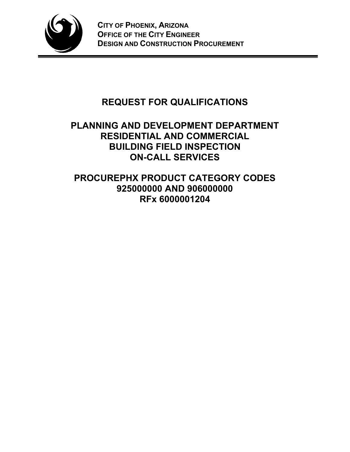

# **REQUEST FOR QUALIFICATIONS**

## **PLANNING AND DEVELOPMENT DEPARTMENT RESIDENTIAL AND COMMERCIAL BUILDING FIELD INSPECTION ON-CALL SERVICES**

**PROCUREPHX PRODUCT CATEGORY CODES 925000000 AND 906000000 RFx 6000001204**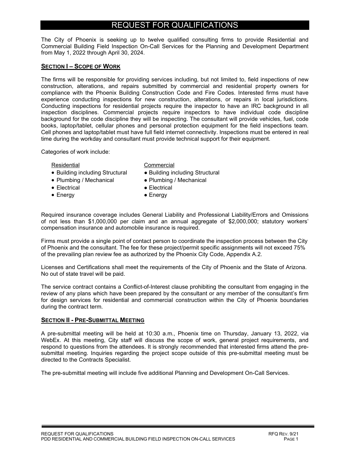## REQUEST FOR QUALIFICATIONS

The City of Phoenix is seeking up to twelve qualified consulting firms to provide Residential and Commercial Building Field Inspection On-Call Services for the Planning and Development Department from May 1, 2022 through April 30, 2024.

#### **SECTION I – SCOPE OF WORK**

The firms will be responsible for providing services including, but not limited to, field inspections of new construction, alterations, and repairs submitted by commercial and residential property owners for compliance with the Phoenix Building Construction Code and Fire Codes. Interested firms must have experience conducting inspections for new construction, alterations, or repairs in local jurisdictions. Conducting inspections for residential projects require the inspector to have an IRC background in all inspection disciplines. Commercial projects require inspectors to have individual code discipline background for the code discipline they will be inspecting. The consultant will provide vehicles, fuel, code books, laptop/tablet, cellular phones and personal protection equipment for the field inspections team. Cell phones and laptop/tablet must have full field internet connectivity. Inspections must be entered in real time during the workday and consultant must provide technical support for their equipment.

Categories of work include:

#### Residential **Commercial**

- Building including Structural Building including Structural
- Plumbing / Mechanical Plumbing / Mechanical
- Electrical Electrical
- 
- 
- Energy  **Energy**

Required insurance coverage includes General Liability and Professional Liability/Errors and Omissions of not less than \$1,000,000 per claim and an annual aggregate of \$2,000,000; statutory workers' compensation insurance and automobile insurance is required.

Firms must provide a single point of contact person to coordinate the inspection process between the City of Phoenix and the consultant. The fee for these project/permit specific assignments will not exceed 75% of the prevailing plan review fee as authorized by the Phoenix City Code, Appendix A.2.

Licenses and Certifications shall meet the requirements of the City of Phoenix and the State of Arizona. No out of state travel will be paid.

The service contract contains a Conflict-of-Interest clause prohibiting the consultant from engaging in the review of any plans which have been prepared by the consultant or any member of the consultant's firm for design services for residential and commercial construction within the City of Phoenix boundaries during the contract term.

#### **SECTION II - PRE-SUBMITTAL MEETING**

A pre-submittal meeting will be held at 10:30 a.m., Phoenix time on Thursday, January 13, 2022, via WebEx. At this meeting, City staff will discuss the scope of work, general project requirements, and respond to questions from the attendees. It is strongly recommended that interested firms attend the presubmittal meeting. Inquiries regarding the project scope outside of this pre-submittal meeting must be directed to the Contracts Specialist.

The pre-submittal meeting will include five additional Planning and Development On-Call Services.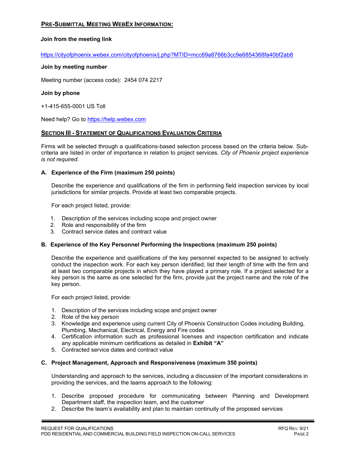### **PRE-SUBMITTAL MEETING WEBEX INFORMATION:**

#### **Join from the meeting link**

https://cityofphoenix.webex.com/cityofphoenix/j.php?MTID=mcc69a8766b3cc9e6854368fa40bf2ab8

#### **Join by meeting number**

Meeting number (access code): 2454 074 2217

#### **Join by phone**

+1-415-655-0001 US Toll

Need help? Go to https://help.webex.com

#### **SECTION III - STATEMENT OF QUALIFICATIONS EVALUATION CRITERIA**

Firms will be selected through a qualifications-based selection process based on the criteria below. Subcriteria are listed in order of importance in relation to project services. *City of Phoenix project experience is not required*.

#### **A. Experience of the Firm (maximum 250 points)**

Describe the experience and qualifications of the firm in performing field inspection services by local jurisdictions for similar projects. Provide at least two comparable projects.

For each project listed, provide:

- 1. Description of the services including scope and project owner
- 2. Role and responsibility of the firm
- 3. Contract service dates and contract value

#### **B. Experience of the Key Personnel Performing the Inspections (maximum 250 points)**

Describe the experience and qualifications of the key personnel expected to be assigned to actively conduct the inspection work. For each key person identified, list their length of time with the firm and at least two comparable projects in which they have played a primary role. If a project selected for a key person is the same as one selected for the firm, provide just the project name and the role of the key person.

For each project listed, provide:

- 1. Description of the services including scope and project owner
- 2. Role of the key person
- 3. Knowledge and experience using current City of Phoenix Construction Codes including Building, Plumbing, Mechanical, Electrical, Energy and Fire codes
- 4. Certification information such as professional licenses and inspection certification and indicate any applicable minimum certifications as detailed in **Exhibit "A"**
- 5. Contracted service dates and contract value

#### **C. Project Management, Approach and Responsiveness (maximum 350 points)**

Understanding and approach to the services, including a discussion of the important considerations in providing the services, and the teams approach to the following:

- 1. Describe proposed procedure for communicating between Planning and Development Department staff, the inspection team, and the customer
- 2. Describe the team's availability and plan to maintain continuity of the proposed services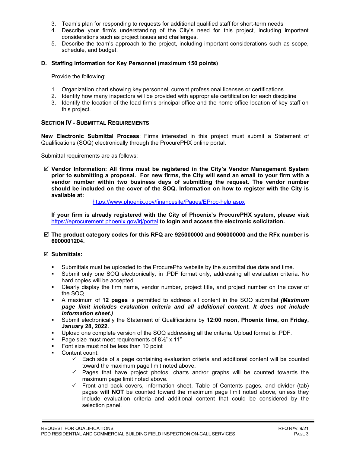- 3. Team's plan for responding to requests for additional qualified staff for short-term needs
- 4. Describe your firm's understanding of the City's need for this project, including important considerations such as project issues and challenges.
- 5. Describe the team's approach to the project, including important considerations such as scope, schedule, and budget.

#### **D. Staffing Information for Key Personnel (maximum 150 points)**

Provide the following:

- 1. Organization chart showing key personnel, current professional licenses or certifications
- 2. Identify how many inspectors will be provided with appropriate certification for each discipline
- 3. Identify the location of the lead firm's principal office and the home office location of key staff on this project.

#### **SECTION IV - SUBMITTAL REQUIREMENTS**

**New Electronic Submittal Process**: Firms interested in this project must submit a Statement of Qualifications (SOQ) electronically through the ProcurePHX online portal.

Submittal requirements are as follows:

 **Vendor Information: All firms must be registered in the City's Vendor Management System prior to submitting a proposal. For new firms, the City will send an email to your firm with a vendor number within two business days of submitting the request. The vendor number should be included on the cover of the SOQ. Information on how to register with the City is available at:**

<https://www.phoenix.gov/financesite/Pages/EProc-help.aspx>

**If your firm is already registered with the City of Phoenix's ProcurePHX system, please visit**  <https://eprocurement.phoenix.gov/irj/portal> **to login and access the electronic solicitation.**

 **The product category codes for this RFQ are 925000000 and 906000000 and the RFx number is 6000001204.**

#### **Submittals:**

- Submittals must be uploaded to the ProcurePhx website by the submittal due date and time.
- Submit only one SOQ electronically, in .PDF format only, addressing all evaluation criteria. No hard copies will be accepted.
- Clearly display the firm name, vendor number, project title, and project number on the cover of the SOQ.
- A maximum of **12 pages** is permitted to address all content in the SOQ submittal *(Maximum page limit includes evaluation criteria and all additional content. It does not include information sheet.)*
- Submit electronically the Statement of Qualifications by **12:00 noon, Phoenix time, on Friday, January 28, 2022.**
- Upload one complete version of the SOQ addressing all the criteria. Upload format is .PDF.
- Page size must meet requirements of  $8\frac{1}{2}$ " x 11"
- Font size must not be less than 10 point
- Content count:
	- $\checkmark$  Each side of a page containing evaluation criteria and additional content will be counted toward the maximum page limit noted above.
	- $\checkmark$  Pages that have project photos, charts and/or graphs will be counted towards the maximum page limit noted above.
	- $\checkmark$  Front and back covers, information sheet, Table of Contents pages, and divider (tab) pages **will NOT** be counted toward the maximum page limit noted above, unless they include evaluation criteria and additional content that could be considered by the selection panel.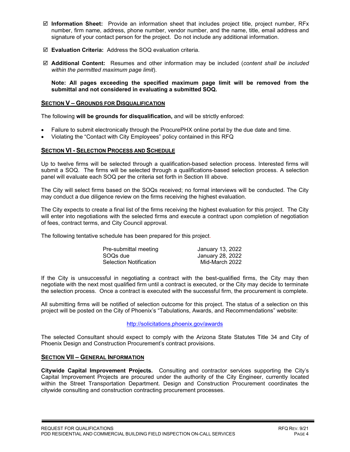- **Information Sheet:** Provide an information sheet that includes project title, project number, RFx number, firm name, address, phone number, vendor number, and the name, title, email address and signature of your contact person for the project. Do not include any additional information.
- **Evaluation Criteria:** Address the SOQ evaluation criteria.
- **Additional Content:** Resumes and other information may be included (*content shall be included within the permitted maximum page limit*).

**Note: All pages exceeding the specified maximum page limit will be removed from the submittal and not considered in evaluating a submitted SOQ.**

### **SECTION V – GROUNDS FOR DISQUALIFICATION**

The following **will be grounds for disqualification,** and will be strictly enforced:

- Failure to submit electronically through the ProcurePHX online portal by the due date and time.
- Violating the "Contact with City Employees" policy contained in this RFQ

### **SECTION VI - SELECTION PROCESS AND SCHEDULE**

Up to twelve firms will be selected through a qualification-based selection process. Interested firms will submit a SOQ. The firms will be selected through a qualifications-based selection process. A selection panel will evaluate each SOQ per the criteria set forth in Section III above.

The City will select firms based on the SOQs received; no formal interviews will be conducted. The City may conduct a due diligence review on the firms receiving the highest evaluation.

The City expects to create a final list of the firms receiving the highest evaluation for this project. The City will enter into negotiations with the selected firms and execute a contract upon completion of negotiation of fees, contract terms, and City Council approval.

The following tentative schedule has been prepared for this project.

| Pre-submittal meeting         | January 13, 2022 |
|-------------------------------|------------------|
| SOQs due                      | January 28, 2022 |
| <b>Selection Notification</b> | Mid-March 2022   |

If the City is unsuccessful in negotiating a contract with the best-qualified firms, the City may then negotiate with the next most qualified firm until a contract is executed, or the City may decide to terminate the selection process. Once a contract is executed with the successful firm, the procurement is complete.

All submitting firms will be notified of selection outcome for this project. The status of a selection on this project will be posted on the City of Phoenix's "Tabulations, Awards, and Recommendations" website:

#### <http://solicitations.phoenix.gov/awards>

The selected Consultant should expect to comply with the Arizona State Statutes Title 34 and City of Phoenix Design and Construction Procurement's contract provisions.

#### **SECTION VII – GENERAL INFORMATION**

**Citywide Capital Improvement Projects.** Consulting and contractor services supporting the City's Capital Improvement Projects are procured under the authority of the City Engineer, currently located within the Street Transportation Department. Design and Construction Procurement coordinates the citywide consulting and construction contracting procurement processes.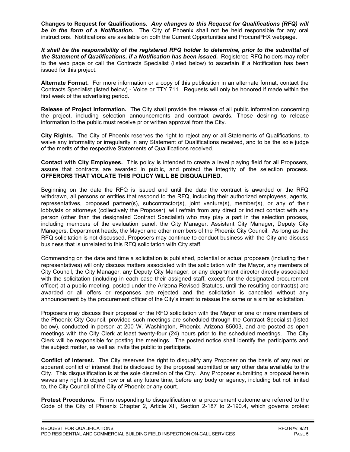**Changes to Request for Qualifications.** *Any changes to this Request for Qualifications (RFQ) will be in the form of a Notification.* The City of Phoenix shall not be held responsible for any oral instructions. Notifications are available on both the Current Opportunities and ProcurePHX webpage.

*It shall be the responsibility of the registered RFQ holder to determine, prior to the submittal of the Statement of Qualifications, if a Notification has been issued***.** Registered RFQ holders may refer to the web page or call the Contracts Specialist (listed below) to ascertain if a Notification has been issued for this project.

**Alternate Format.** For more information or a copy of this publication in an alternate format, contact the Contracts Specialist (listed below) - Voice or TTY 711. Requests will only be honored if made within the first week of the advertising period.

**Release of Project Information.** The City shall provide the release of all public information concerning the project, including selection announcements and contract awards. Those desiring to release information to the public must receive prior written approval from the City.

**City Rights.** The City of Phoenix reserves the right to reject any or all Statements of Qualifications, to waive any informality or irregularity in any Statement of Qualifications received, and to be the sole judge of the merits of the respective Statements of Qualifications received.

**Contact with City Employees.** This policy is intended to create a level playing field for all Proposers, assure that contracts are awarded in public, and protect the integrity of the selection process. **OFFERORS THAT VIOLATE THIS POLICY WILL BE DISQUALIFIED.**

Beginning on the date the RFQ is issued and until the date the contract is awarded or the RFQ withdrawn, all persons or entities that respond to the RFQ, including their authorized employees, agents, representatives, proposed partner(s), subcontractor(s), joint venture(s), member(s), or any of their lobbyists or attorneys (collectively the Proposer), will refrain from any direct or indirect contact with any person (other than the designated Contract Specialist) who may play a part in the selection process, including members of the evaluation panel, the City Manager, Assistant City Manager, Deputy City Managers, Department heads, the Mayor and other members of the Phoenix City Council. As long as the RFQ solicitation is not discussed, Proposers may continue to conduct business with the City and discuss business that is unrelated to this RFQ solicitation with City staff.

Commencing on the date and time a solicitation is published, potential or actual proposers (including their representatives) will only discuss matters associated with the solicitation with the Mayor, any members of City Council, the City Manager, any Deputy City Manager, or any department director directly associated with the solicitation (including in each case their assigned staff, except for the designated procurement officer) at a public meeting, posted under the Arizona Revised Statutes, until the resulting contract(s) are awarded or all offers or responses are rejected and the solicitation is cancelled without any announcement by the procurement officer of the City's intent to reissue the same or a similar solicitation.

Proposers may discuss their proposal or the RFQ solicitation with the Mayor or one or more members of the Phoenix City Council, provided such meetings are scheduled through the Contract Specialist (listed below), conducted in person at 200 W. Washington, Phoenix, Arizona 85003, and are posted as open meetings with the City Clerk at least twenty-four (24) hours prior to the scheduled meetings. The City Clerk will be responsible for posting the meetings. The posted notice shall identify the participants and the subject matter, as well as invite the public to participate.

**Conflict of Interest.** The City reserves the right to disqualify any Proposer on the basis of any real or apparent conflict of interest that is disclosed by the proposal submitted or any other data available to the City. This disqualification is at the sole discretion of the City. Any Proposer submitting a proposal herein waves any right to object now or at any future time, before any body or agency, including but not limited to, the City Council of the City of Phoenix or any court.

**Protest Procedures.** Firms responding to disqualification or a procurement outcome are referred to the Code of the City of Phoenix Chapter 2, Article XII, Section 2-187 to 2-190.4, which governs protest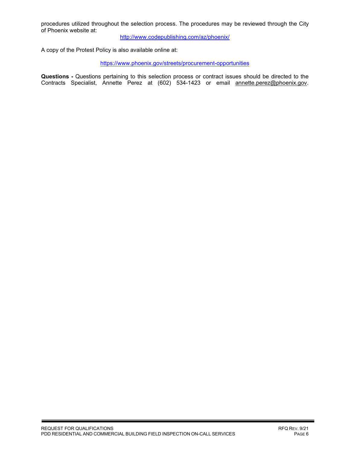procedures utilized throughout the selection process. The procedures may be reviewed through the City of Phoenix website at:

<http://www.codepublishing.com/az/phoenix/>

A copy of the Protest Policy is also available online at:

<https://www.phoenix.gov/streets/procurement-opportunities>

**Questions -** Questions pertaining to this selection process or contract issues should be directed to the Contracts Specialist, Annette Perez at (602) 534-1423 or email annette.perez@phoenix.gov.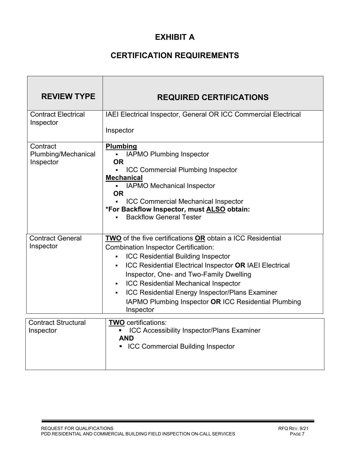## **EXHIBIT A**

## **CERTIFICATION REQUIREMENTS**

| <b>REVIEW TYPE</b>                           | <b>REQUIRED CERTIFICATIONS</b>                                                                                                                                                                                                                                                                                                                                                                                                           |
|----------------------------------------------|------------------------------------------------------------------------------------------------------------------------------------------------------------------------------------------------------------------------------------------------------------------------------------------------------------------------------------------------------------------------------------------------------------------------------------------|
| <b>Contract Electrical</b><br>Inspector      | IAEI Electrical Inspector, General OR ICC Commercial Electrical<br>Inspector                                                                                                                                                                                                                                                                                                                                                             |
| Contract<br>Plumbing/Mechanical<br>Inspector | <b>Plumbing</b><br><b>IAPMO Plumbing Inspector</b><br><b>OR</b><br><b>ICC Commercial Plumbing Inspector</b><br><b>Mechanical</b><br><b>IAPMO Mechanical Inspector</b><br>$\mathbf{r}$<br><b>OR</b><br><b>ICC Commercial Mechanical Inspector</b><br>*For Backflow Inspector, must ALSO obtain:<br><b>Backflow General Tester</b>                                                                                                         |
| <b>Contract General</b><br>Inspector         | TWO of the five certifications OR obtain a ICC Residential<br><b>Combination Inspector Certification:</b><br><b>ICC Residential Building Inspector</b><br>ICC Residential Electrical Inspector OR IAEI Electrical<br>٠<br>Inspector, One- and Two-Family Dwelling<br><b>ICC Residential Mechanical Inspector</b><br>ICC Residential Energy Inspector/Plans Examiner<br>IAPMO Plumbing Inspector OR ICC Residential Plumbing<br>Inspector |
| <b>Contract Structural</b><br>Inspector      | <b>TWO</b> certifications:<br>ICC Accessibility Inspector/Plans Examiner<br><b>AND</b><br><b>ICC Commercial Building Inspector</b>                                                                                                                                                                                                                                                                                                       |